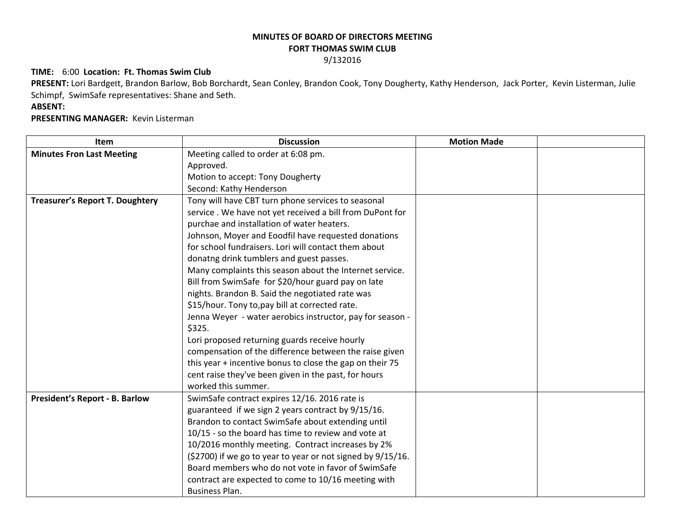## **MINUTES OF BOARD OF DIRECTORS MEETING FORT THOMAS SWIM CLUB**

### 9/132016

### **TIME:** 6:00 **Location: Ft. Thomas Swim Club**

**PRESENT:** Lori Bardgett, Brandon Barlow, Bob Borchardt, Sean Conley, Brandon Cook, Tony Dougherty, Kathy Henderson, Jack Porter, Kevin Listerman, Julie Schimpf, SwimSafe representatives: Shane and Seth.

# **ABSENT:**

## **PRESENTING MANAGER:** Kevin Listerman

| <b>Item</b>                            | <b>Discussion</b>                                           | <b>Motion Made</b> |  |
|----------------------------------------|-------------------------------------------------------------|--------------------|--|
| <b>Minutes Fron Last Meeting</b>       | Meeting called to order at 6:08 pm.                         |                    |  |
|                                        | Approved.                                                   |                    |  |
|                                        | Motion to accept: Tony Dougherty                            |                    |  |
|                                        | Second: Kathy Henderson                                     |                    |  |
| <b>Treasurer's Report T. Doughtery</b> | Tony will have CBT turn phone services to seasonal          |                    |  |
|                                        | service. We have not yet received a bill from DuPont for    |                    |  |
|                                        | purchae and installation of water heaters.                  |                    |  |
|                                        | Johnson, Moyer and Eoodfil have requested donations         |                    |  |
|                                        | for school fundraisers. Lori will contact them about        |                    |  |
|                                        | donatng drink tumblers and guest passes.                    |                    |  |
|                                        | Many complaints this season about the Internet service.     |                    |  |
|                                        | Bill from SwimSafe for \$20/hour guard pay on late          |                    |  |
|                                        | nights. Brandon B. Said the negotiated rate was             |                    |  |
|                                        | \$15/hour. Tony to, pay bill at corrected rate.             |                    |  |
|                                        | Jenna Weyer - water aerobics instructor, pay for season -   |                    |  |
|                                        | \$325.                                                      |                    |  |
|                                        | Lori proposed returning guards receive hourly               |                    |  |
|                                        | compensation of the difference between the raise given      |                    |  |
|                                        | this year + incentive bonus to close the gap on their 75    |                    |  |
|                                        | cent raise they've been given in the past, for hours        |                    |  |
|                                        | worked this summer.                                         |                    |  |
| <b>President's Report - B. Barlow</b>  | SwimSafe contract expires 12/16. 2016 rate is               |                    |  |
|                                        | guaranteed if we sign 2 years contract by 9/15/16.          |                    |  |
|                                        | Brandon to contact SwimSafe about extending until           |                    |  |
|                                        | 10/15 - so the board has time to review and vote at         |                    |  |
|                                        | 10/2016 monthly meeting. Contract increases by 2%           |                    |  |
|                                        | (\$2700) if we go to year to year or not signed by 9/15/16. |                    |  |
|                                        | Board members who do not vote in favor of SwimSafe          |                    |  |
|                                        | contract are expected to come to 10/16 meeting with         |                    |  |
|                                        | Business Plan.                                              |                    |  |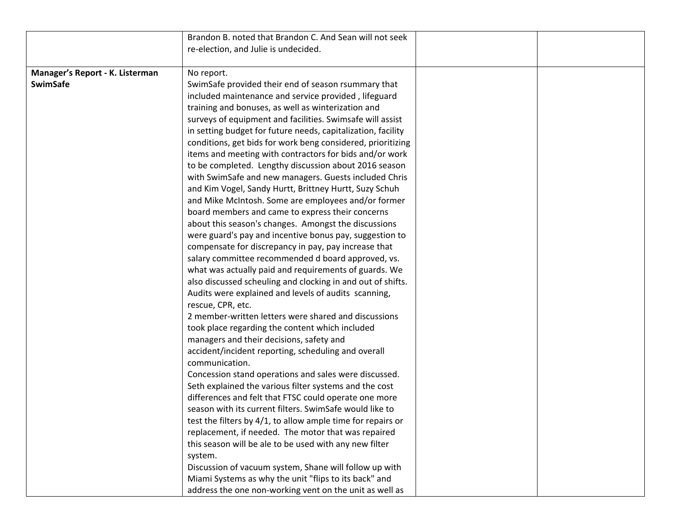|                                 | Brandon B. noted that Brandon C. And Sean will not seek      |  |
|---------------------------------|--------------------------------------------------------------|--|
|                                 | re-election, and Julie is undecided.                         |  |
|                                 |                                                              |  |
| Manager's Report - K. Listerman | No report.                                                   |  |
| <b>SwimSafe</b>                 | SwimSafe provided their end of season rsummary that          |  |
|                                 | included maintenance and service provided, lifeguard         |  |
|                                 | training and bonuses, as well as winterization and           |  |
|                                 | surveys of equipment and facilities. Swimsafe will assist    |  |
|                                 | in setting budget for future needs, capitalization, facility |  |
|                                 | conditions, get bids for work beng considered, prioritizing  |  |
|                                 | items and meeting with contractors for bids and/or work      |  |
|                                 | to be completed. Lengthy discussion about 2016 season        |  |
|                                 | with SwimSafe and new managers. Guests included Chris        |  |
|                                 | and Kim Vogel, Sandy Hurtt, Brittney Hurtt, Suzy Schuh       |  |
|                                 | and Mike McIntosh. Some are employees and/or former          |  |
|                                 | board members and came to express their concerns             |  |
|                                 | about this season's changes. Amongst the discussions         |  |
|                                 | were guard's pay and incentive bonus pay, suggestion to      |  |
|                                 | compensate for discrepancy in pay, pay increase that         |  |
|                                 | salary committee recommended d board approved, vs.           |  |
|                                 | what was actually paid and requirements of guards. We        |  |
|                                 | also discussed scheuling and clocking in and out of shifts.  |  |
|                                 | Audits were explained and levels of audits scanning,         |  |
|                                 | rescue, CPR, etc.                                            |  |
|                                 | 2 member-written letters were shared and discussions         |  |
|                                 | took place regarding the content which included              |  |
|                                 | managers and their decisions, safety and                     |  |
|                                 | accident/incident reporting, scheduling and overall          |  |
|                                 | communication.                                               |  |
|                                 | Concession stand operations and sales were discussed.        |  |
|                                 | Seth explained the various filter systems and the cost       |  |
|                                 | differences and felt that FTSC could operate one more        |  |
|                                 | season with its current filters. SwimSafe would like to      |  |
|                                 | test the filters by 4/1, to allow ample time for repairs or  |  |
|                                 | replacement, if needed. The motor that was repaired          |  |
|                                 | this season will be ale to be used with any new filter       |  |
|                                 | system.                                                      |  |
|                                 | Discussion of vacuum system, Shane will follow up with       |  |
|                                 | Miami Systems as why the unit "flips to its back" and        |  |
|                                 | address the one non-working vent on the unit as well as      |  |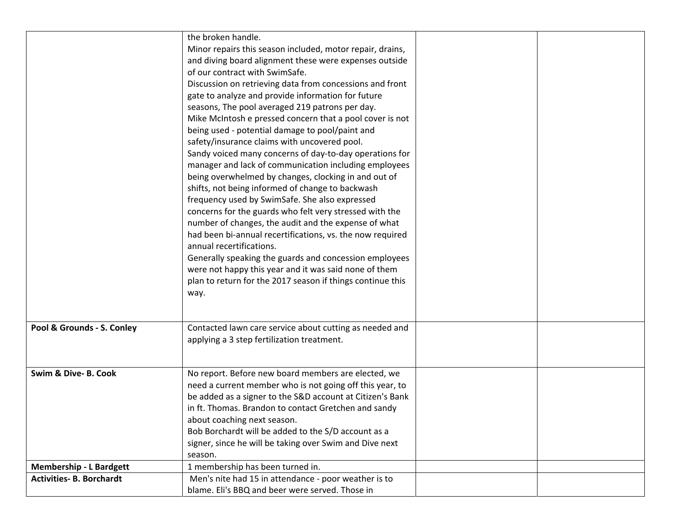|                                 | the broken handle.                                         |  |
|---------------------------------|------------------------------------------------------------|--|
|                                 | Minor repairs this season included, motor repair, drains,  |  |
|                                 | and diving board alignment these were expenses outside     |  |
|                                 | of our contract with SwimSafe.                             |  |
|                                 |                                                            |  |
|                                 | Discussion on retrieving data from concessions and front   |  |
|                                 | gate to analyze and provide information for future         |  |
|                                 | seasons, The pool averaged 219 patrons per day.            |  |
|                                 | Mike McIntosh e pressed concern that a pool cover is not   |  |
|                                 | being used - potential damage to pool/paint and            |  |
|                                 | safety/insurance claims with uncovered pool.               |  |
|                                 | Sandy voiced many concerns of day-to-day operations for    |  |
|                                 | manager and lack of communication including employees      |  |
|                                 | being overwhelmed by changes, clocking in and out of       |  |
|                                 | shifts, not being informed of change to backwash           |  |
|                                 | frequency used by SwimSafe. She also expressed             |  |
|                                 | concerns for the guards who felt very stressed with the    |  |
|                                 | number of changes, the audit and the expense of what       |  |
|                                 | had been bi-annual recertifications, vs. the now required  |  |
|                                 | annual recertifications.                                   |  |
|                                 | Generally speaking the guards and concession employees     |  |
|                                 | were not happy this year and it was said none of them      |  |
|                                 | plan to return for the 2017 season if things continue this |  |
|                                 | way.                                                       |  |
|                                 |                                                            |  |
|                                 |                                                            |  |
| Pool & Grounds - S. Conley      | Contacted lawn care service about cutting as needed and    |  |
|                                 | applying a 3 step fertilization treatment.                 |  |
|                                 |                                                            |  |
| Swim & Dive- B. Cook            | No report. Before new board members are elected, we        |  |
|                                 | need a current member who is not going off this year, to   |  |
|                                 | be added as a signer to the S&D account at Citizen's Bank  |  |
|                                 | in ft. Thomas. Brandon to contact Gretchen and sandy       |  |
|                                 | about coaching next season.                                |  |
|                                 | Bob Borchardt will be added to the S/D account as a        |  |
|                                 | signer, since he will be taking over Swim and Dive next    |  |
|                                 | season.                                                    |  |
| <b>Membership - L Bardgett</b>  | 1 membership has been turned in.                           |  |
| <b>Activities- B. Borchardt</b> | Men's nite had 15 in attendance - poor weather is to       |  |
|                                 | blame. Eli's BBQ and beer were served. Those in            |  |